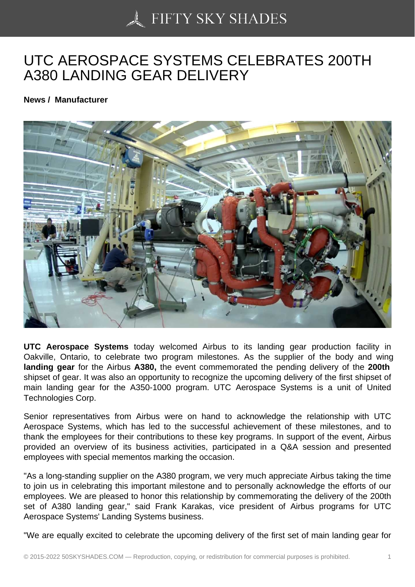## [UTC AEROSPACE SY](https://50skyshades.com)STEMS CELEBRATES 200TH A380 LANDING GEAR DELIVERY

News / Manufacturer

UTC Aerospace Systems today welcomed Airbus to its landing gear production facility in Oakville, Ontario, to celebrate two program milestones. As the supplier of the body and wing landing gear for the Airbus A380, the event commemorated the pending delivery of the 200th shipset of gear. It was also an opportunity to recognize the upcoming delivery of the first shipset of main landing gear for the A350-1000 program. UTC Aerospace Systems is a unit of United Technologies Corp.

Senior representatives from Airbus were on hand to acknowledge the relationship with UTC Aerospace Systems, which has led to the successful achievement of these milestones, and to thank the employees for their contributions to these key programs. In support of the event, Airbus provided an overview of its business activities, participated in a Q&A session and presented employees with special mementos marking the occasion.

"As a long-standing supplier on the A380 program, we very much appreciate Airbus taking the time to join us in celebrating this important milestone and to personally acknowledge the efforts of our employees. We are pleased to honor this relationship by commemorating the delivery of the 200th set of A380 landing gear," said Frank Karakas, vice president of Airbus programs for UTC Aerospace Systems' Landing Systems business.

"We are equally excited to celebrate the upcoming delivery of the first set of main landing gear for